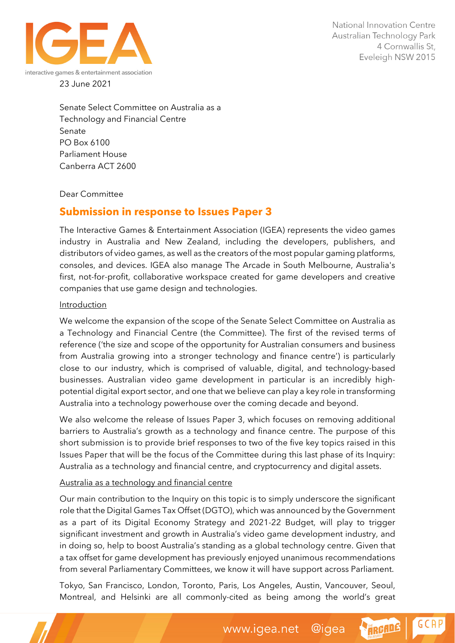

Senate Select Committee on Australia as a Technology and Financial Centre Senate PO Box 6100 Parliament House Canberra ACT 2600

Dear Committee

## **Submission in response to Issues Paper 3**

The Interactive Games & Entertainment Association (IGEA) represents the video games industry in Australia and New Zealand, including the developers, publishers, and distributors of video games, as well as the creators of the most popular gaming platforms, consoles, and devices. IGEA also manage The Arcade in South Melbourne, Australia's first, not-for-profit, collaborative workspace created for game developers and creative companies that use game design and technologies.

## Introduction

We welcome the expansion of the scope of the Senate Select Committee on Australia as a Technology and Financial Centre (the Committee). The first of the revised terms of reference ('the size and scope of the opportunity for Australian consumers and business from Australia growing into a stronger technology and finance centre') is particularly close to our industry, which is comprised of valuable, digital, and technology-based businesses. Australian video game development in particular is an incredibly highpotential digital export sector, and one that we believe can play a key role in transforming Australia into a technology powerhouse over the coming decade and beyond.

We also welcome the release of Issues Paper 3, which focuses on removing additional barriers to Australia's growth as a technology and finance centre. The purpose of this short submission is to provide brief responses to two of the five key topics raised in this Issues Paper that will be the focus of the Committee during this last phase of its Inquiry: Australia as a technology and financial centre, and cryptocurrency and digital assets.

## Australia as a technology and financial centre

Our main contribution to the Inquiry on this topic is to simply underscore the significant role that the Digital Games Tax Offset (DGTO), which was announced by the Government as a part of its Digital Economy Strategy and 2021-22 Budget, will play to trigger significant investment and growth in Australia's video game development industry, and in doing so, help to boost Australia's standing as a global technology centre. Given that a tax offset for game development has previously enjoyed unanimous recommendations from several Parliamentary Committees, we know it will have support across Parliament.

Tokyo, San Francisco, London, Toronto, Paris, Los Angeles, Austin, Vancouver, Seoul, Montreal, and Helsinki are all commonly-cited as being among the world's great

**GCAP** 

HRGADE